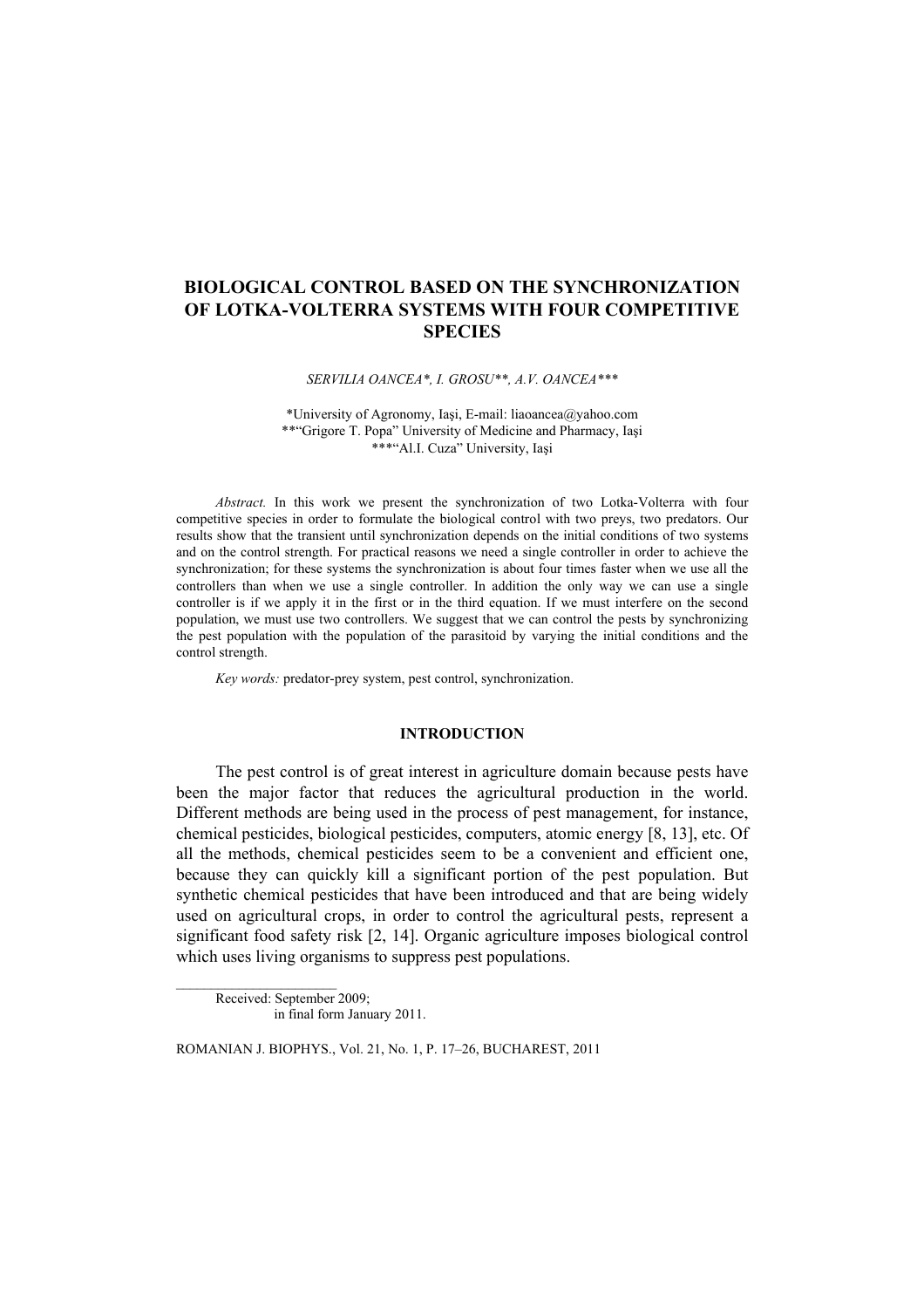# **BIOLOGICAL CONTROL BASED ON THE SYNCHRONIZATION OF LOTKA-VOLTERRA SYSTEMS WITH FOUR COMPETITIVE SPECIES**

*SERVILIA OANCEA\*, I. GROSU\*\*, A.V. OANCEA\*\*\** 

\*University of Agronomy, Iaşi, E-mail: liaoancea@yahoo.com \*\*"Grigore T. Popa" University of Medicine and Pharmacy, Iaşi \*\*\*"Al.I. Cuza" University, Iaşi

*Abstract.* In this work we present the synchronization of two Lotka-Volterra with four competitive species in order to formulate the biological control with two preys, two predators. Our results show that the transient until synchronization depends on the initial conditions of two systems and on the control strength. For practical reasons we need a single controller in order to achieve the synchronization; for these systems the synchronization is about four times faster when we use all the controllers than when we use a single controller. In addition the only way we can use a single controller is if we apply it in the first or in the third equation. If we must interfere on the second population, we must use two controllers. We suggest that we can control the pests by synchronizing the pest population with the population of the parasitoid by varying the initial conditions and the control strength.

*Key words:* predator-prey system, pest control, synchronization.

#### **INTRODUCTION**

The pest control is of great interest in agriculture domain because pests have been the major factor that reduces the agricultural production in the world. Different methods are being used in the process of pest management, for instance, chemical pesticides, biological pesticides, computers, atomic energy [8, 13], etc. Of all the methods, chemical pesticides seem to be a convenient and efficient one, because they can quickly kill a significant portion of the pest population. But synthetic chemical pesticides that have been introduced and that are being widely used on agricultural crops, in order to control the agricultural pests, represent a significant food safety risk [2, 14]. Organic agriculture imposes biological control which uses living organisms to suppress pest populations.

Received: September 2009; in final form January 2011.

ROMANIAN J. BIOPHYS., Vol. 21, No. 1, P. 17–26, BUCHAREST, 2011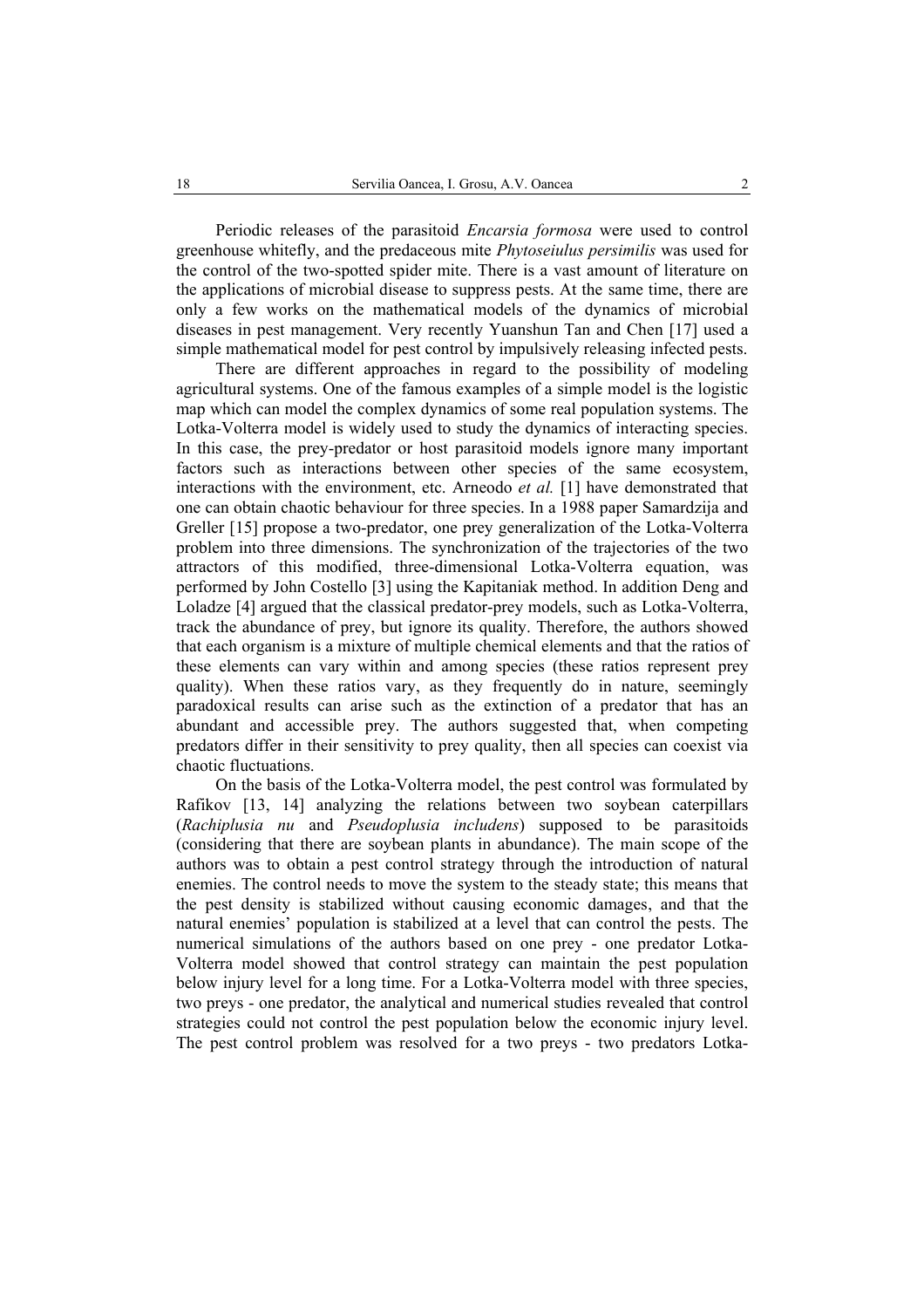Periodic releases of the parasitoid *Encarsia formosa* were used to control greenhouse whitefly, and the predaceous mite *Phytoseiulus persimilis* was used for the control of the two-spotted spider mite. There is a vast amount of literature on the applications of microbial disease to suppress pests. At the same time, there are only a few works on the mathematical models of the dynamics of microbial diseases in pest management. Very recently Yuanshun Tan and Chen [17] used a simple mathematical model for pest control by impulsively releasing infected pests.

There are different approaches in regard to the possibility of modeling agricultural systems. One of the famous examples of a simple model is the logistic map which can model the complex dynamics of some real population systems. The Lotka-Volterra model is widely used to study the dynamics of interacting species. In this case, the prey-predator or host parasitoid models ignore many important factors such as interactions between other species of the same ecosystem, interactions with the environment, etc. Arneodo *et al.* [1] have demonstrated that one can obtain chaotic behaviour for three species. In a 1988 paper Samardzija and Greller [15] propose a two-predator, one prey generalization of the Lotka-Volterra problem into three dimensions. The synchronization of the trajectories of the two attractors of this modified, three-dimensional Lotka-Volterra equation, was performed by John Costello [3] using the Kapitaniak method. In addition Deng and Loladze [4] argued that the classical predator-prey models, such as Lotka-Volterra, track the abundance of prey, but ignore its quality. Therefore, the authors showed that each organism is a mixture of multiple chemical elements and that the ratios of these elements can vary within and among species (these ratios represent prey quality). When these ratios vary, as they frequently do in nature, seemingly paradoxical results can arise such as the extinction of a predator that has an abundant and accessible prey. The authors suggested that, when competing predators differ in their sensitivity to prey quality, then all species can coexist via chaotic fluctuations.

On the basis of the Lotka-Volterra model, the pest control was formulated by Rafikov [13, 14] analyzing the relations between two soybean caterpillars (*Rachiplusia nu* and *Pseudoplusia includens*) supposed to be parasitoids (considering that there are soybean plants in abundance). The main scope of the authors was to obtain a pest control strategy through the introduction of natural enemies. The control needs to move the system to the steady state; this means that the pest density is stabilized without causing economic damages, and that the natural enemies' population is stabilized at a level that can control the pests. The numerical simulations of the authors based on one prey - one predator Lotka-Volterra model showed that control strategy can maintain the pest population below injury level for a long time. For a Lotka-Volterra model with three species, two preys - one predator, the analytical and numerical studies revealed that control strategies could not control the pest population below the economic injury level. The pest control problem was resolved for a two preys - two predators Lotka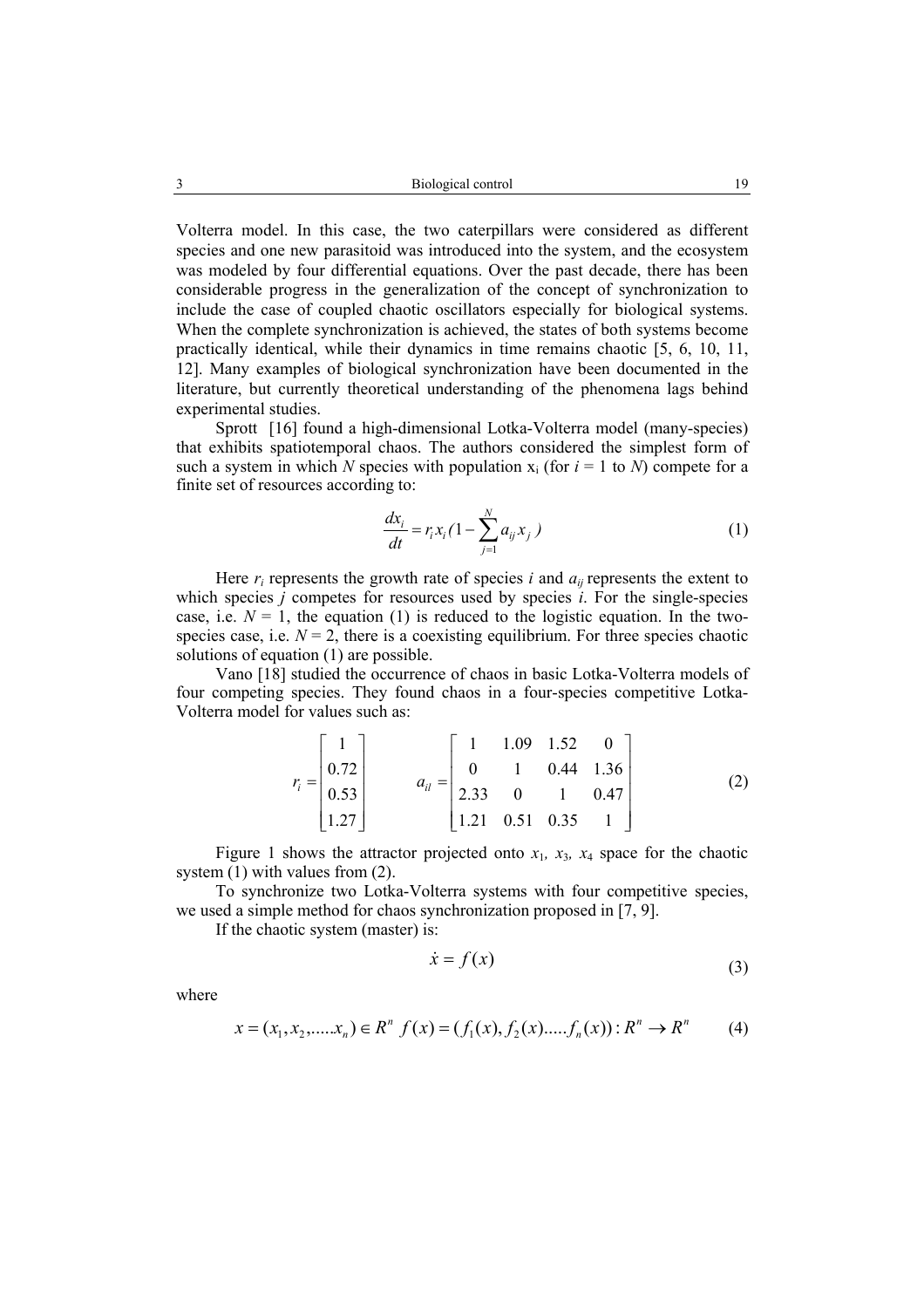Volterra model. In this case, the two caterpillars were considered as different species and one new parasitoid was introduced into the system, and the ecosystem was modeled by four differential equations. Over the past decade, there has been considerable progress in the generalization of the concept of synchronization to include the case of coupled chaotic oscillators especially for biological systems. When the complete synchronization is achieved, the states of both systems become practically identical, while their dynamics in time remains chaotic [5, 6, 10, 11, 12]. Many examples of biological synchronization have been documented in the literature, but currently theoretical understanding of the phenomena lags behind experimental studies.

Sprott [16] found a high-dimensional Lotka-Volterra model (many-species) that exhibits spatiotemporal chaos. The authors considered the simplest form of such a system in which *N* species with population  $x_i$  (for  $i = 1$  to *N*) compete for a finite set of resources according to:

$$
\frac{dx_i}{dt} = r_i x_i (1 - \sum_{j=1}^{N} a_{ij} x_j)
$$
 (1)

Here  $r_i$  represents the growth rate of species *i* and  $a_{ii}$  represents the extent to which species *j* competes for resources used by species *i*. For the single-species case, i.e.  $N = 1$ , the equation (1) is reduced to the logistic equation. In the twospecies case, i.e.  $N = 2$ , there is a coexisting equilibrium. For three species chaotic solutions of equation (1) are possible.

Vano [18] studied the occurrence of chaos in basic Lotka-Volterra models of four competing species. They found chaos in a four-species competitive Lotka-Volterra model for values such as:

$$
r_i = \begin{bmatrix} 1 \\ 0.72 \\ 0.53 \\ 1.27 \end{bmatrix} \qquad a_{il} = \begin{bmatrix} 1 & 1.09 & 1.52 & 0 \\ 0 & 1 & 0.44 & 1.36 \\ 2.33 & 0 & 1 & 0.47 \\ 1.21 & 0.51 & 0.35 & 1 \end{bmatrix}
$$
(2)

Figure 1 shows the attractor projected onto  $x_1$ ,  $x_3$ ,  $x_4$  space for the chaotic system (1) with values from (2).

To synchronize two Lotka-Volterra systems with four competitive species, we used a simple method for chaos synchronization proposed in [7, 9].

If the chaotic system (master) is:

$$
\dot{x} = f(x) \tag{3}
$$

where

$$
x = (x_1, x_2, \dots, x_n) \in R^n \ f(x) = (f_1(x), f_2(x), \dots, f_n(x)) : R^n \to R^n \tag{4}
$$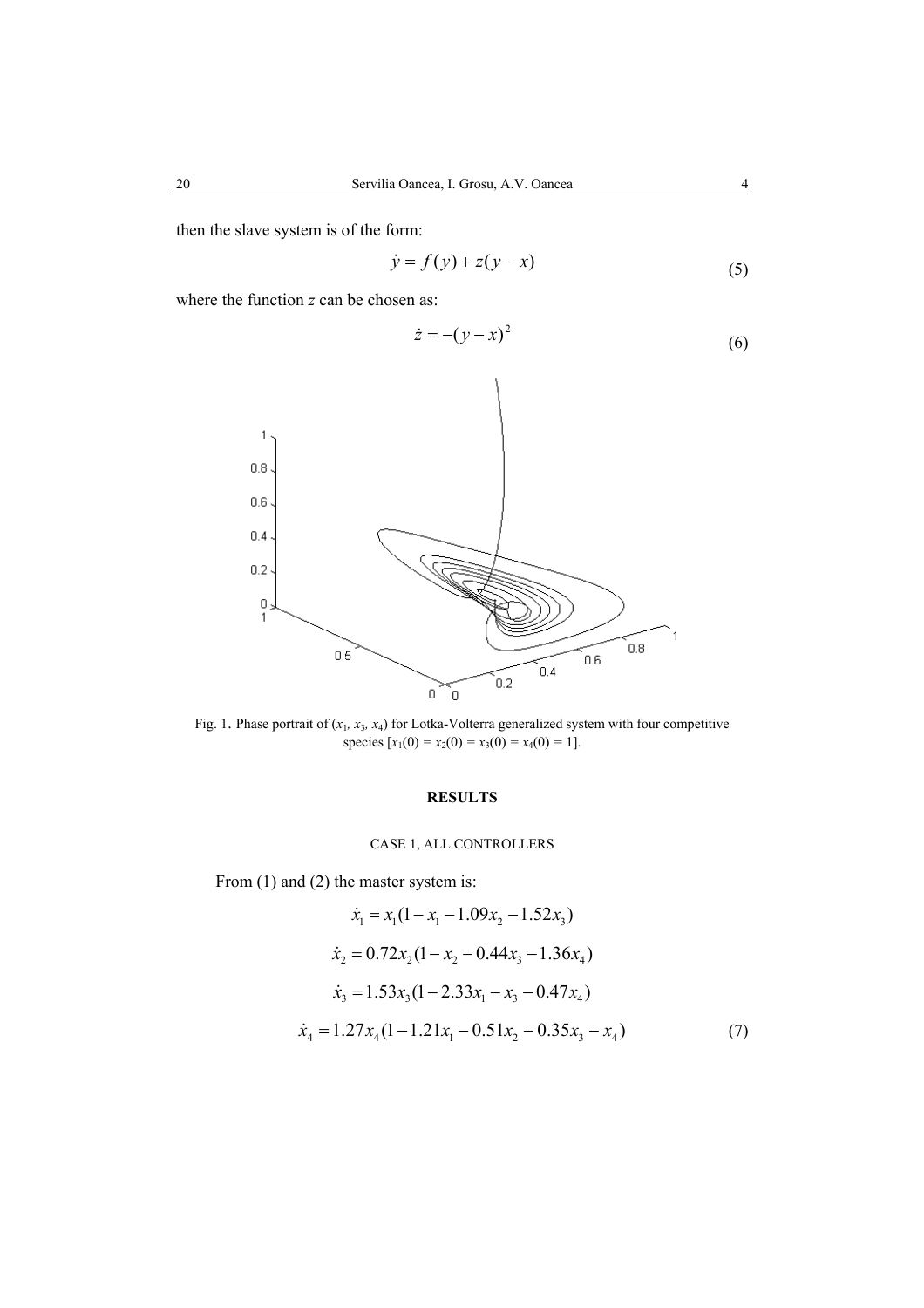then the slave system is of the form:

$$
\dot{y} = f(y) + z(y - x) \tag{5}
$$

where the function *z* can be chosen as:

$$
\dot{z} = -(y - x)^2 \tag{6}
$$



Fig. 1. Phase portrait of  $(x_1, x_3, x_4)$  for Lotka-Volterra generalized system with four competitive species  $[x_1(0) = x_2(0) = x_3(0) = x_4(0) = 1].$ 

## **RESULTS**

## CASE 1, ALL CONTROLLERS

From (1) and (2) the master system is:

$$
\dot{x}_1 = x_1(1 - x_1 - 1.09x_2 - 1.52x_3)
$$
  
\n
$$
\dot{x}_2 = 0.72x_2(1 - x_2 - 0.44x_3 - 1.36x_4)
$$
  
\n
$$
\dot{x}_3 = 1.53x_3(1 - 2.33x_1 - x_3 - 0.47x_4)
$$
  
\n
$$
\dot{x}_4 = 1.27x_4(1 - 1.21x_1 - 0.51x_2 - 0.35x_3 - x_4)
$$
 (7)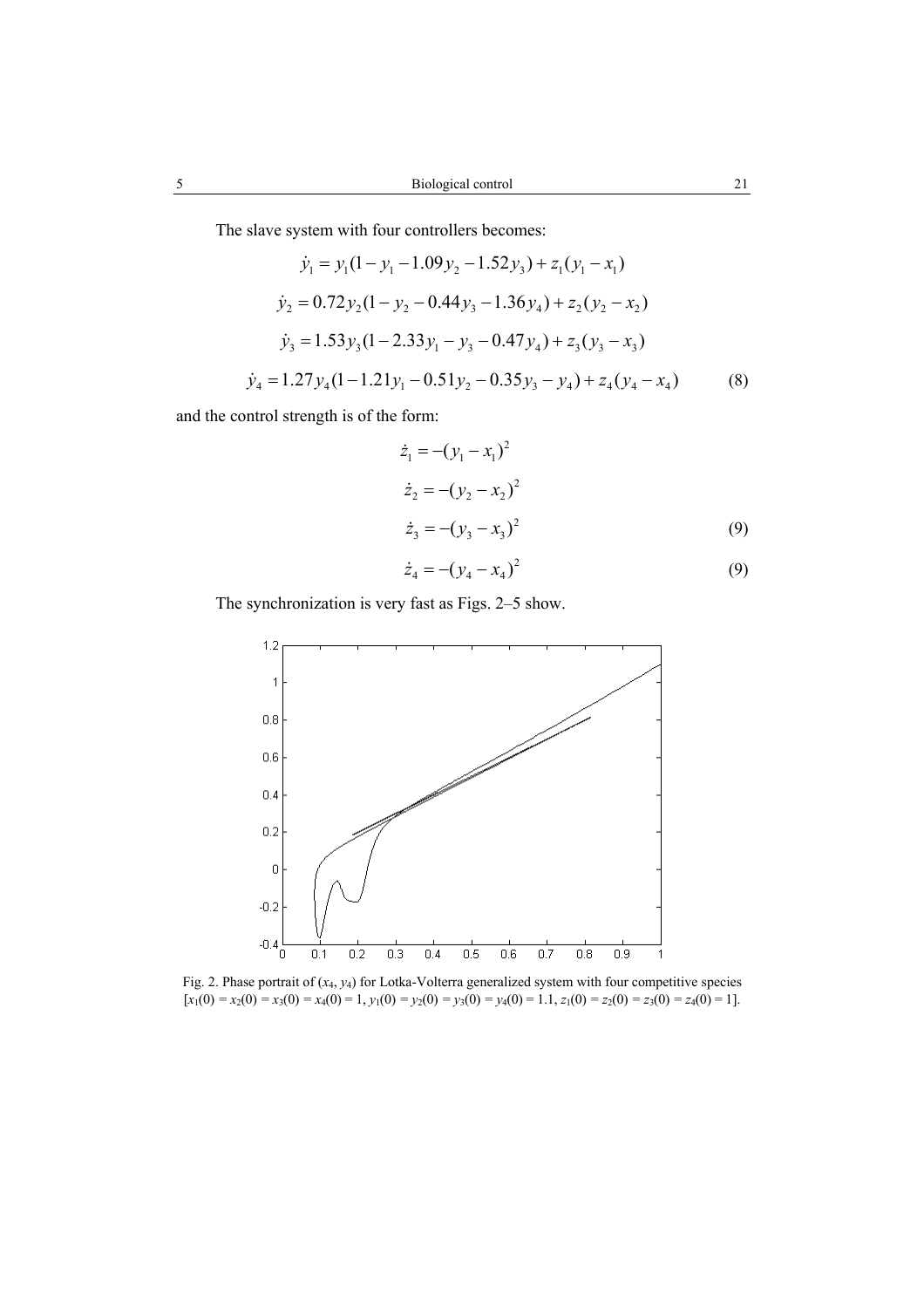The slave system with four controllers becomes:

$$
\dot{y}_1 = y_1(1 - y_1 - 1.09y_2 - 1.52y_3) + z_1(y_1 - x_1)
$$
  
\n
$$
\dot{y}_2 = 0.72y_2(1 - y_2 - 0.44y_3 - 1.36y_4) + z_2(y_2 - x_2)
$$
  
\n
$$
\dot{y}_3 = 1.53y_3(1 - 2.33y_1 - y_3 - 0.47y_4) + z_3(y_3 - x_3)
$$
  
\n
$$
\dot{y}_4 = 1.27y_4(1 - 1.21y_1 - 0.51y_2 - 0.35y_3 - y_4) + z_4(y_4 - x_4)
$$
 (8)

and the control strength is of the form:

$$
\dot{z}_1 = -(y_1 - x_1)^2
$$
  
\n
$$
\dot{z}_2 = -(y_2 - x_2)^2
$$
  
\n
$$
\dot{z}_3 = -(y_3 - x_3)^2
$$
\n(9)

$$
\dot{z}_4 = -(y_4 - x_4)^2 \tag{9}
$$

The synchronization is very fast as Figs. 2–5 show.



Fig. 2. Phase portrait of (*x*4, *y*4) for Lotka-Volterra generalized system with four competitive species  $[x_1(0) = x_2(0) = x_3(0) = x_4(0) = 1$ ,  $y_1(0) = y_2(0) = y_3(0) = y_4(0) = 1.1$ ,  $z_1(0) = z_2(0) = z_3(0) = z_4(0) = 1$ .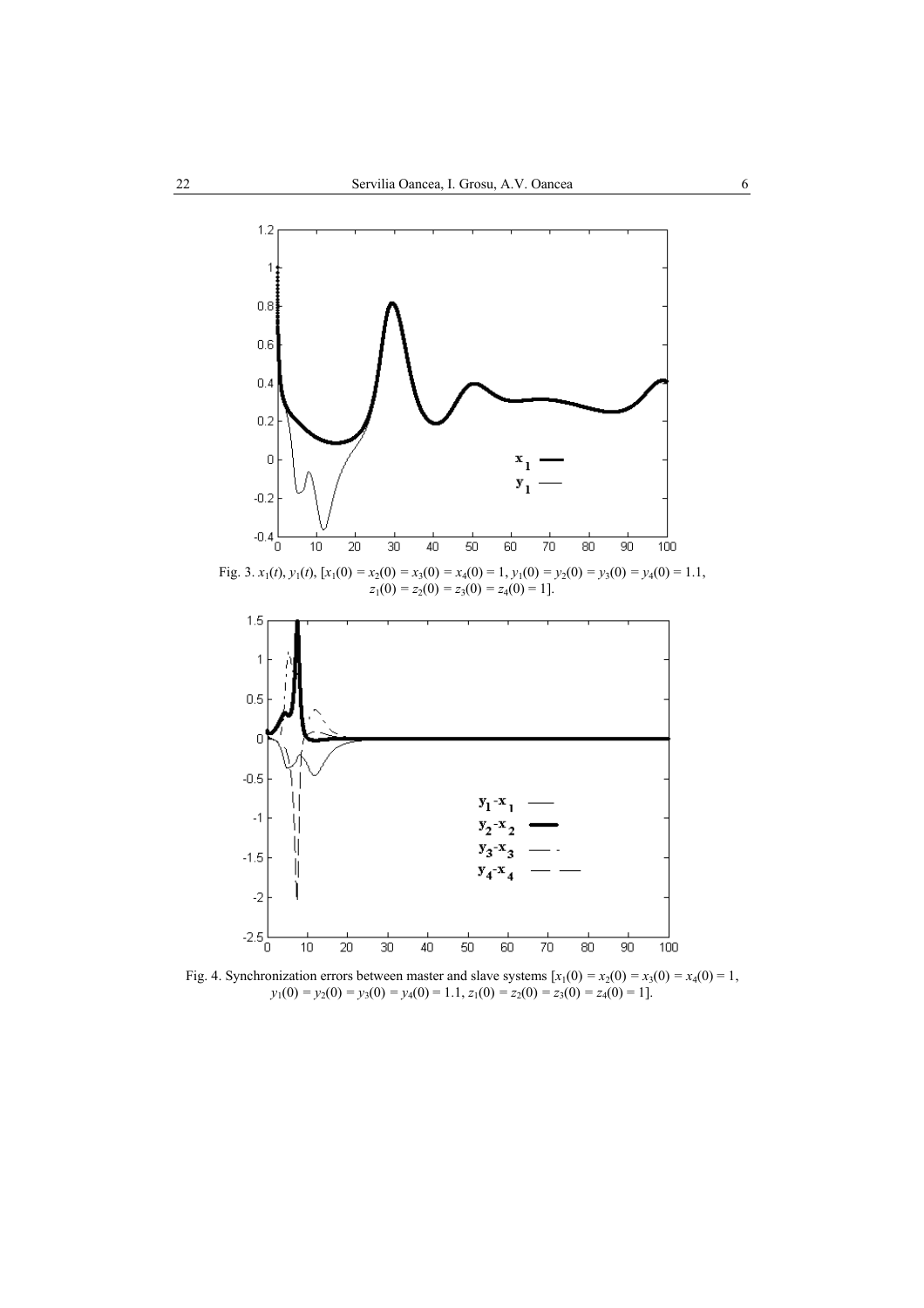

 $z_1(0) = z_2(0) = z_3(0) = z_4(0) = 1$ .



Fig. 4. Synchronization errors between master and slave systems  $[x_1(0) = x_2(0) = x_3(0) = x_4(0) = 1$ ,  $y_1(0) = y_2(0) = y_3(0) = y_4(0) = 1.1, z_1(0) = z_2(0) = z_3(0) = z_4(0) = 1$ .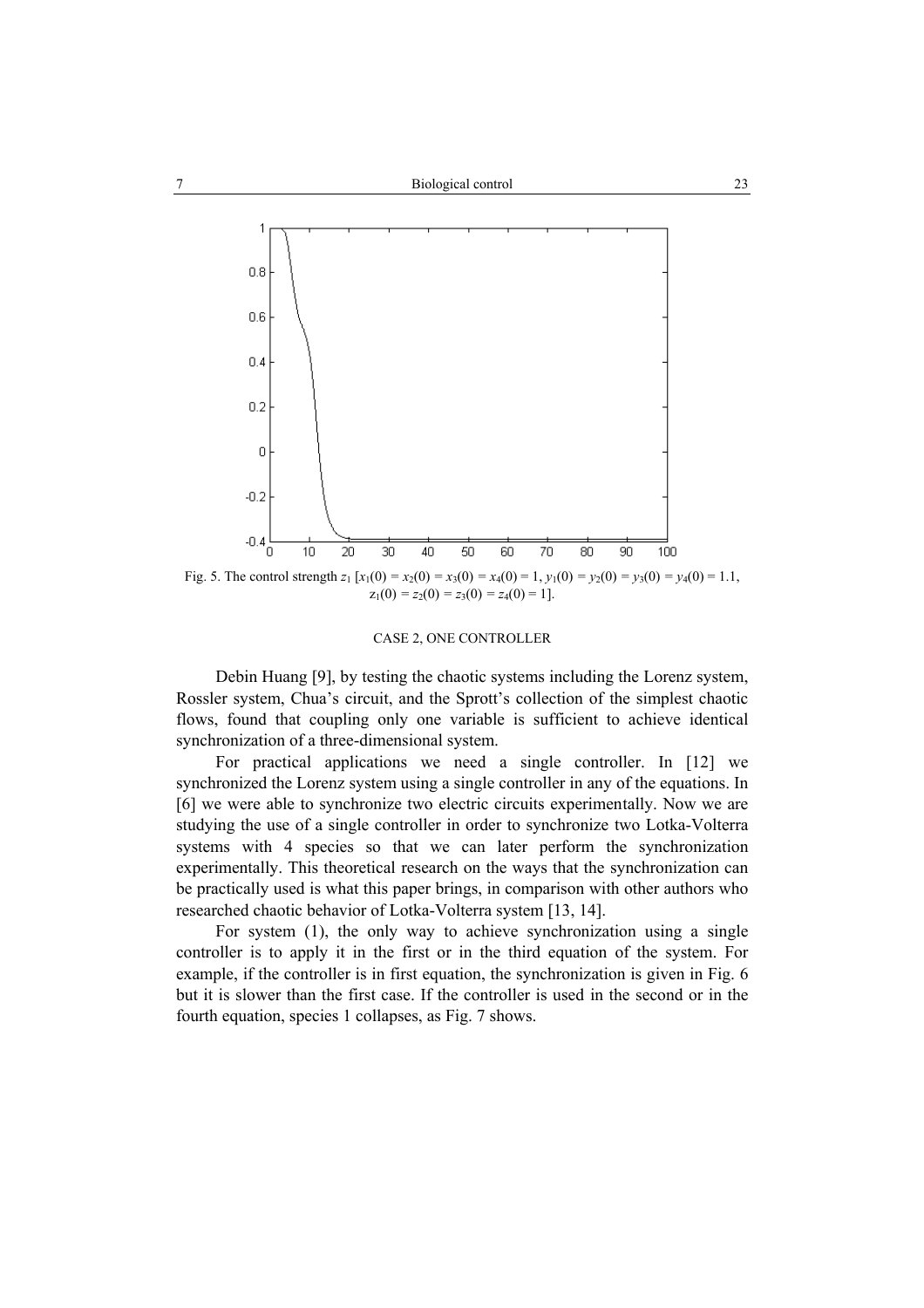

#### CASE 2, ONE CONTROLLER

Debin Huang [9], by testing the chaotic systems including the Lorenz system, Rossler system, Chua's circuit, and the Sprott's collection of the simplest chaotic flows, found that coupling only one variable is sufficient to achieve identical synchronization of a three-dimensional system.

For practical applications we need a single controller. In [12] we synchronized the Lorenz system using a single controller in any of the equations. In [6] we were able to synchronize two electric circuits experimentally. Now we are studying the use of a single controller in order to synchronize two Lotka-Volterra systems with 4 species so that we can later perform the synchronization experimentally. This theoretical research on the ways that the synchronization can be practically used is what this paper brings, in comparison with other authors who researched chaotic behavior of Lotka-Volterra system [13, 14].

For system (1), the only way to achieve synchronization using a single controller is to apply it in the first or in the third equation of the system. For example, if the controller is in first equation, the synchronization is given in Fig. 6 but it is slower than the first case. If the controller is used in the second or in the fourth equation, species 1 collapses, as Fig. 7 shows.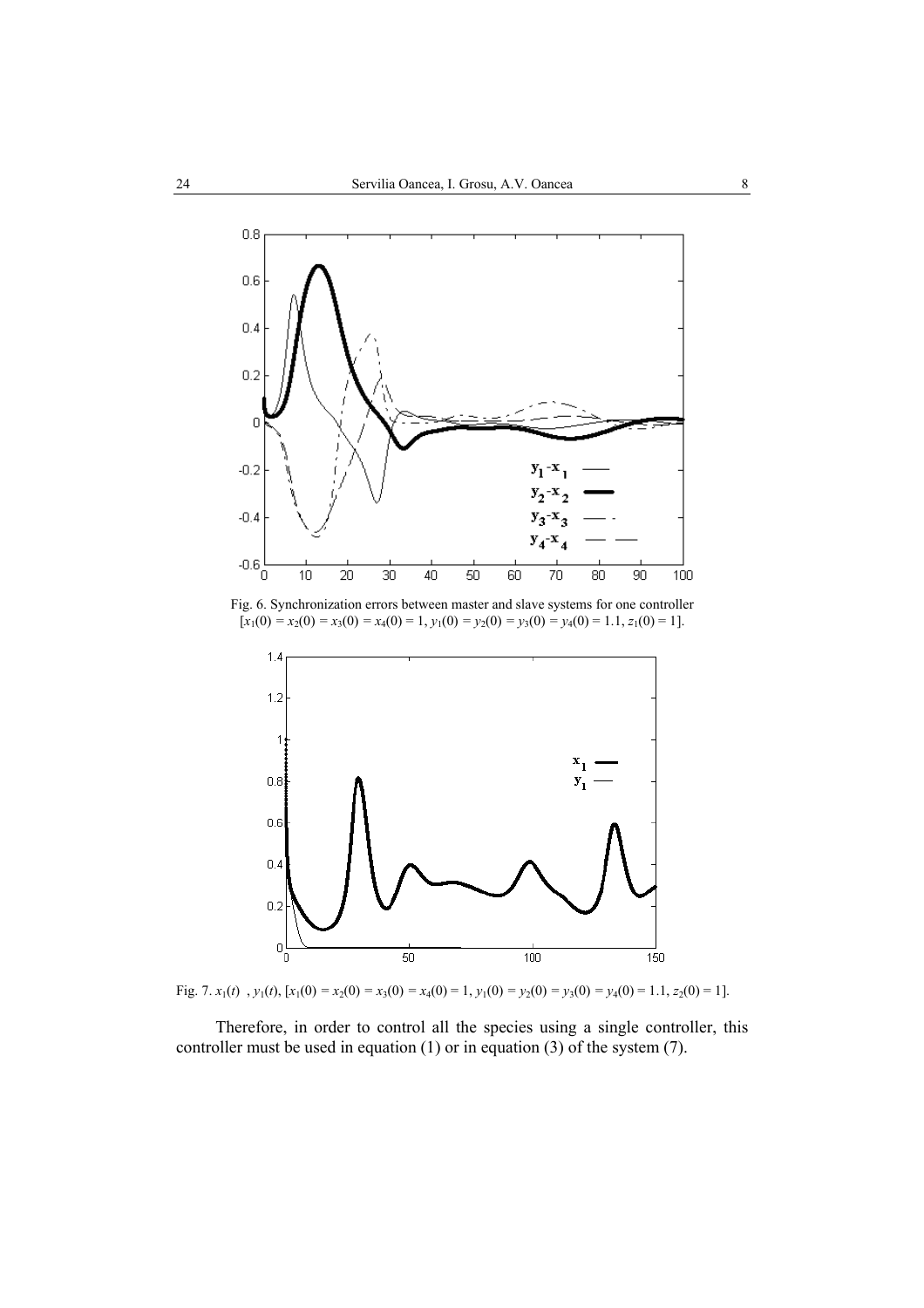

Fig. 6. Synchronization errors between master and slave systems for one controller  $[x_1(0) = x_2(0) = x_3(0) = x_4(0) = 1, y_1(0) = y_2(0) = y_3(0) = y_4(0) = 1.1, z_1(0) = 1$ .



Fig. 7.  $x_1(t)$ ,  $y_1(t)$ ,  $[x_1(0) = x_2(0) = x_3(0) = x_4(0) = 1$ ,  $y_1(0) = y_2(0) = y_3(0) = y_4(0) = 1.1$ ,  $z_2(0) = 1$ ].

Therefore, in order to control all the species using a single controller, this controller must be used in equation (1) or in equation (3) of the system (7).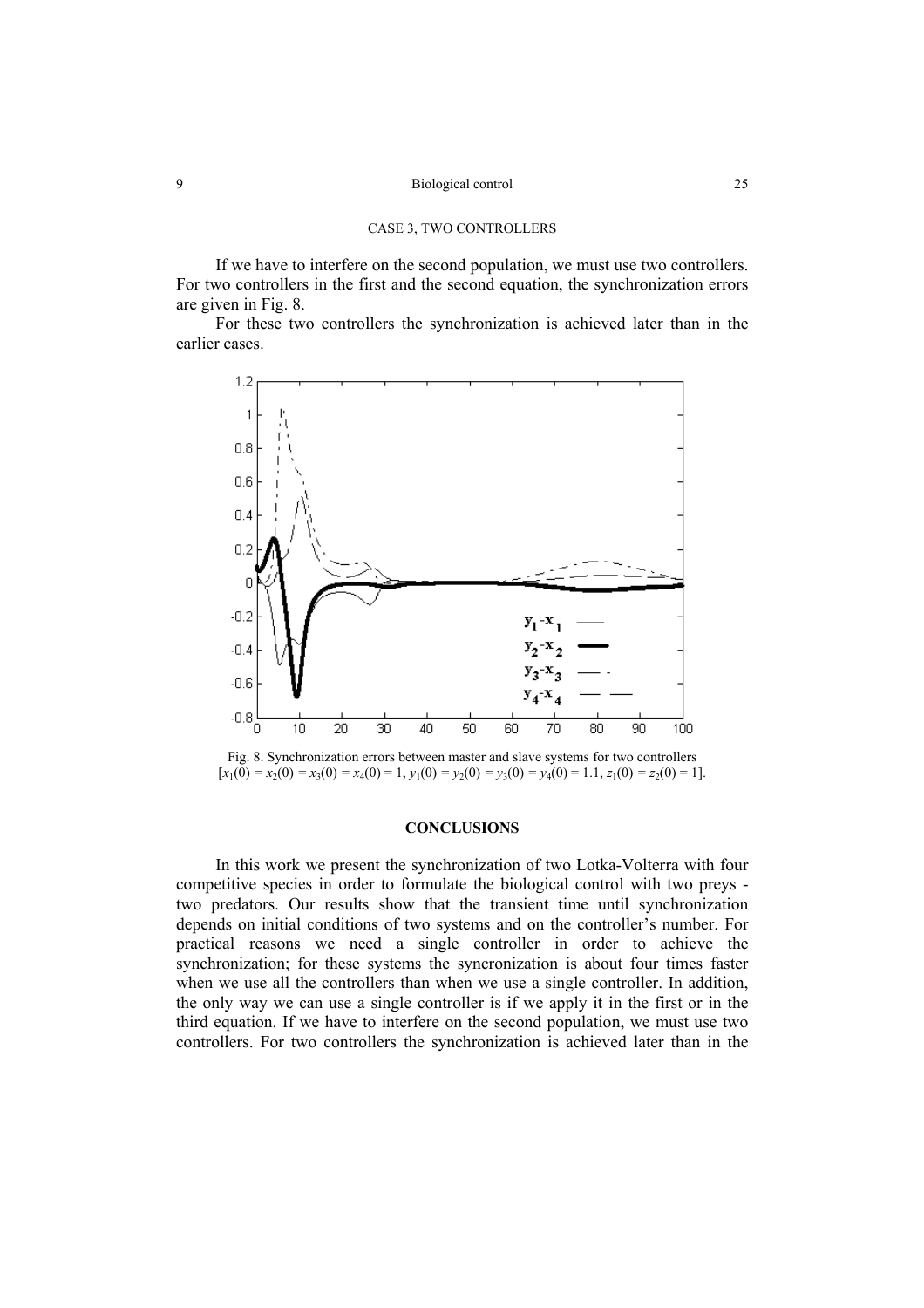#### CASE 3, TWO CONTROLLERS

If we have to interfere on the second population, we must use two controllers. For two controllers in the first and the second equation, the synchronization errors are given in Fig. 8.

For these two controllers the synchronization is achieved later than in the earlier cases.



Fig. 8. Synchronization errors between master and slave systems for two controllers  $[x_1(0) = x_2(0) = x_3(0) = x_4(0) = 1, y_1(0) = y_2(0) = y_3(0) = y_4(0) = 1.1, z_1(0) = z_2(0) = 1$ .

### **CONCLUSIONS**

In this work we present the synchronization of two Lotka-Volterra with four competitive species in order to formulate the biological control with two preys two predators. Our results show that the transient time until synchronization depends on initial conditions of two systems and on the controller's number. For practical reasons we need a single controller in order to achieve the synchronization; for these systems the syncronization is about four times faster when we use all the controllers than when we use a single controller. In addition, the only way we can use a single controller is if we apply it in the first or in the third equation. If we have to interfere on the second population, we must use two controllers. For two controllers the synchronization is achieved later than in the